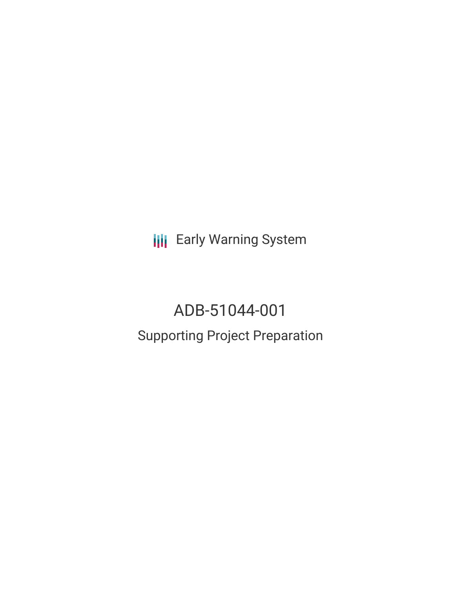**III** Early Warning System

# ADB-51044-001 Supporting Project Preparation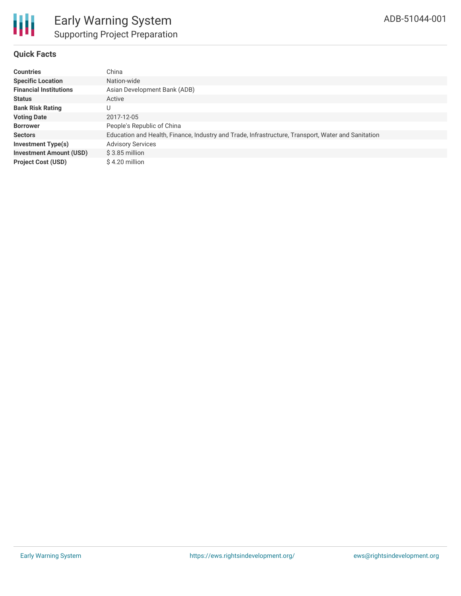## **Quick Facts**

| <b>Countries</b>               | China                                                                                              |
|--------------------------------|----------------------------------------------------------------------------------------------------|
| <b>Specific Location</b>       | Nation-wide                                                                                        |
| <b>Financial Institutions</b>  | Asian Development Bank (ADB)                                                                       |
| <b>Status</b>                  | Active                                                                                             |
| <b>Bank Risk Rating</b>        | U                                                                                                  |
| <b>Voting Date</b>             | 2017-12-05                                                                                         |
| <b>Borrower</b>                | People's Republic of China                                                                         |
| <b>Sectors</b>                 | Education and Health, Finance, Industry and Trade, Infrastructure, Transport, Water and Sanitation |
| <b>Investment Type(s)</b>      | <b>Advisory Services</b>                                                                           |
| <b>Investment Amount (USD)</b> | $$3.85$ million                                                                                    |
| <b>Project Cost (USD)</b>      | \$4.20 million                                                                                     |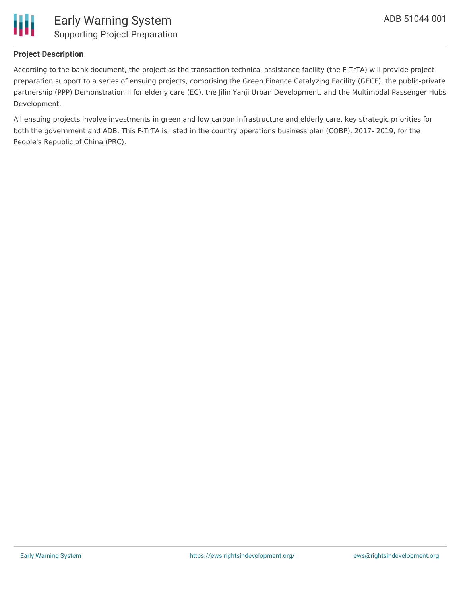

## **Project Description**

According to the bank document, the project as the transaction technical assistance facility (the F-TrTA) will provide project preparation support to a series of ensuing projects, comprising the Green Finance Catalyzing Facility (GFCF), the public-private partnership (PPP) Demonstration II for elderly care (EC), the Jilin Yanji Urban Development, and the Multimodal Passenger Hubs Development.

All ensuing projects involve investments in green and low carbon infrastructure and elderly care, key strategic priorities for both the government and ADB. This F-TrTA is listed in the country operations business plan (COBP), 2017- 2019, for the People's Republic of China (PRC).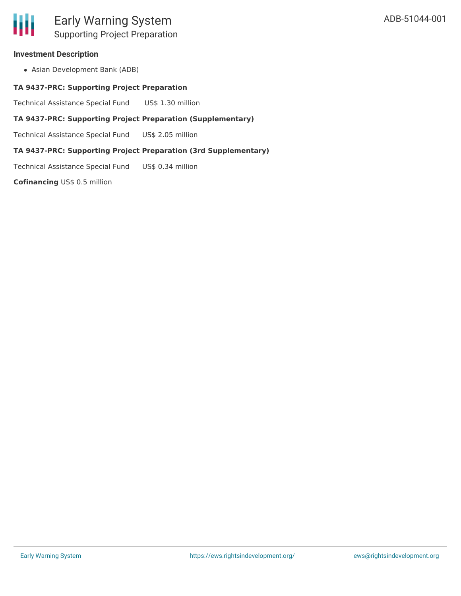# **Investment Description**

Ш

Asian Development Bank (ADB)

## **TA 9437-PRC: Supporting Project Preparation**

Technical Assistance Special Fund US\$ 1.30 million

# **TA 9437-PRC: Supporting Project Preparation (Supplementary)**

Technical Assistance Special Fund US\$ 2.05 million

# **TA 9437-PRC: Supporting Project Preparation (3rd Supplementary)**

Technical Assistance Special Fund US\$ 0.34 million

**Cofinancing** US\$ 0.5 million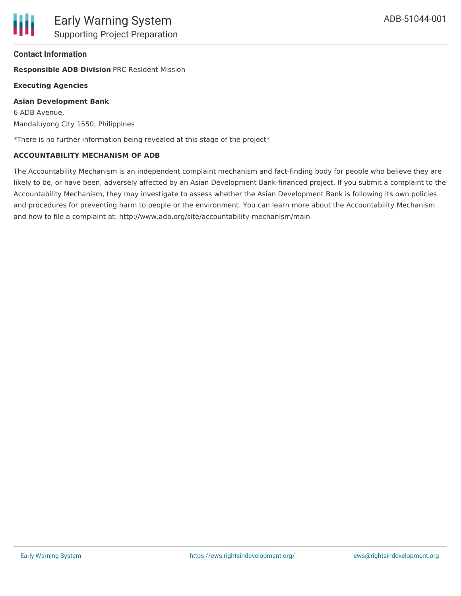## **Contact Information**

**Responsible ADB Division** PRC Resident Mission

#### **Executing Agencies**

#### **Asian Development Bank**

6 ADB Avenue, Mandaluyong City 1550, Philippines

\*There is no further information being revealed at this stage of the project\*

#### **ACCOUNTABILITY MECHANISM OF ADB**

The Accountability Mechanism is an independent complaint mechanism and fact-finding body for people who believe they are likely to be, or have been, adversely affected by an Asian Development Bank-financed project. If you submit a complaint to the Accountability Mechanism, they may investigate to assess whether the Asian Development Bank is following its own policies and procedures for preventing harm to people or the environment. You can learn more about the Accountability Mechanism and how to file a complaint at: http://www.adb.org/site/accountability-mechanism/main